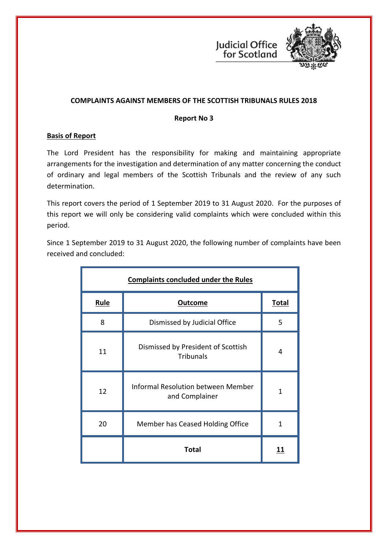



# **COMPLAINTS AGAINST MEMBERS OF THE SCOTTISH TRIBUNALS RULES 2018**

#### **Report No 3**

# **Basis of Report**

The Lord President has the responsibility for making and maintaining appropriate arrangements for the investigation and determination of any matter concerning the conduct of ordinary and legal members of the Scottish Tribunals and the review of any such determination.

This report covers the period of 1 September 2019 to 31 August 2020. For the purposes of this report we will only be considering valid complaints which were concluded within this period.

Since 1 September 2019 to 31 August 2020, the following number of complaints have been received and concluded:

| <b>Complaints concluded under the Rules</b> |                                                        |              |  |
|---------------------------------------------|--------------------------------------------------------|--------------|--|
| <b>Rule</b>                                 | <b>Outcome</b>                                         | <u>Total</u> |  |
| 8                                           | Dismissed by Judicial Office                           | 5            |  |
| 11                                          | Dismissed by President of Scottish<br><b>Tribunals</b> | 4            |  |
| 12                                          | Informal Resolution between Member<br>and Complainer   | 1            |  |
| 20                                          | Member has Ceased Holding Office                       | 1            |  |
|                                             | <b>Total</b>                                           | 11           |  |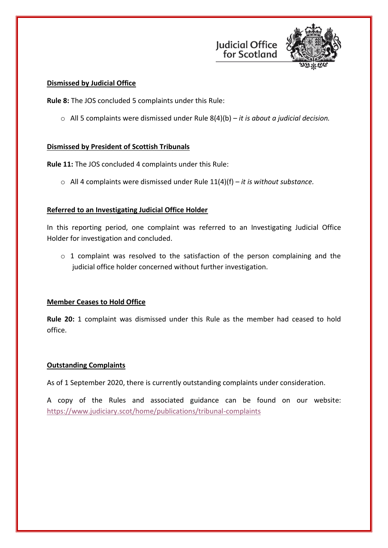



#### **Dismissed by Judicial Office**

**Rule 8:** The JOS concluded 5 complaints under this Rule:

o All 5 complaints were dismissed under Rule 8(4)(b) – *it is about a judicial decision.*

### **Dismissed by President of Scottish Tribunals**

**Rule 11:** The JOS concluded 4 complaints under this Rule:

o All 4 complaints were dismissed under Rule 11(4)(f) – *it is without substance.*

### **Referred to an Investigating Judicial Office Holder**

In this reporting period, one complaint was referred to an Investigating Judicial Office Holder for investigation and concluded.

o 1 complaint was resolved to the satisfaction of the person complaining and the judicial office holder concerned without further investigation.

#### **Member Ceases to Hold Office**

**Rule 20:** 1 complaint was dismissed under this Rule as the member had ceased to hold office.

# **Outstanding Complaints**

As of 1 September 2020, there is currently outstanding complaints under consideration.

A copy of the Rules and associated guidance can be found on our website: <https://www.judiciary.scot/home/publications/tribunal-complaints>